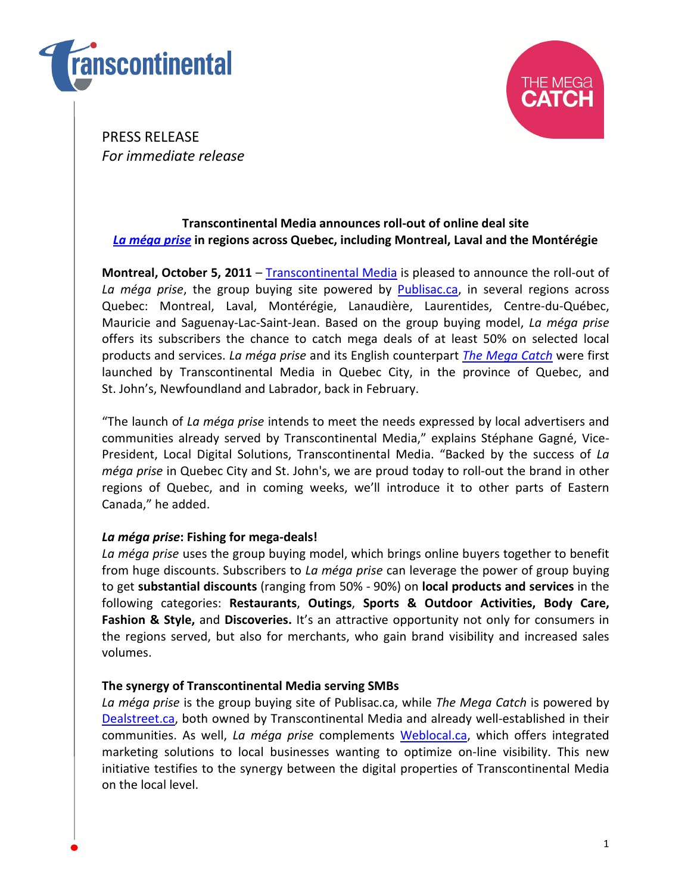



PRESS RELEASE For immediate release

# Transcontinental Media announces roll-out of online deal site La méga prise in regions across Quebec, including Montreal, Laval and the Montérégie

Montreal, October 5, 2011 – Transcontinental Media is pleased to announce the roll-out of La méga prise, the group buying site powered by **Publisac.ca**, in several regions across Quebec: Montreal, Laval, Montérégie, Lanaudière, Laurentides, Centre-du-Québec, Mauricie and Saguenay-Lac-Saint-Jean. Based on the group buying model, La méga prise offers its subscribers the chance to catch mega deals of at least 50% on selected local products and services. La méga prise and its English counterpart The Mega Catch were first launched by Transcontinental Media in Quebec City, in the province of Quebec, and St. John's, Newfoundland and Labrador, back in February.

"The launch of La méga prise intends to meet the needs expressed by local advertisers and communities already served by Transcontinental Media," explains Stéphane Gagné, Vice-President, Local Digital Solutions, Transcontinental Media. "Backed by the success of La méga prise in Quebec City and St. John's, we are proud today to roll-out the brand in other regions of Quebec, and in coming weeks, we'll introduce it to other parts of Eastern Canada," he added.

# La méga prise: Fishing for mega-deals!

La méga prise uses the group buying model, which brings online buyers together to benefit from huge discounts. Subscribers to La méga prise can leverage the power of group buying to get substantial discounts (ranging from 50% - 90%) on local products and services in the following categories: Restaurants, Outings, Sports & Outdoor Activities, Body Care, Fashion & Style, and Discoveries. It's an attractive opportunity not only for consumers in the regions served, but also for merchants, who gain brand visibility and increased sales volumes.

## The synergy of Transcontinental Media serving SMBs

La méga prise is the group buying site of Publisac.ca, while The Mega Catch is powered by Dealstreet.ca, both owned by Transcontinental Media and already well-established in their communities. As well, La méga prise complements Weblocal.ca, which offers integrated marketing solutions to local businesses wanting to optimize on-line visibility. This new initiative testifies to the synergy between the digital properties of Transcontinental Media on the local level.